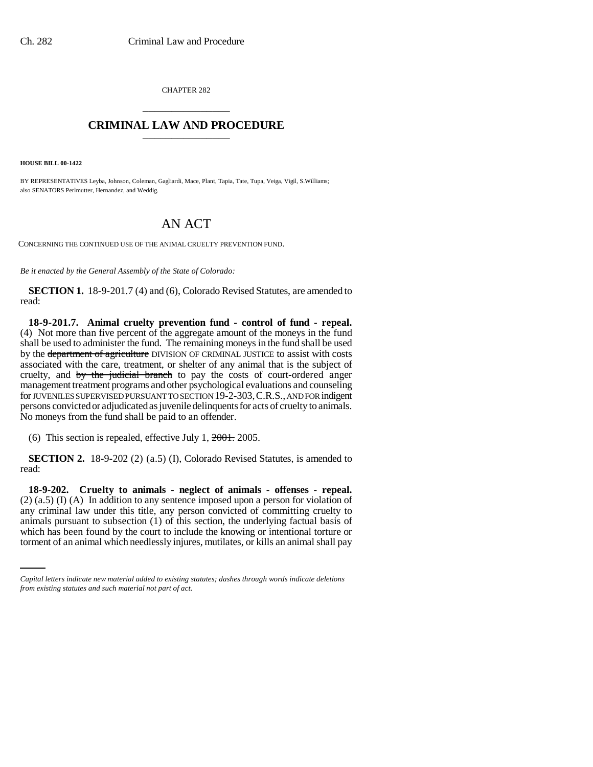CHAPTER 282 \_\_\_\_\_\_\_\_\_\_\_\_\_\_\_

## **CRIMINAL LAW AND PROCEDURE** \_\_\_\_\_\_\_\_\_\_\_\_\_\_\_

**HOUSE BILL 00-1422** 

BY REPRESENTATIVES Leyba, Johnson, Coleman, Gagliardi, Mace, Plant, Tapia, Tate, Tupa, Veiga, Vigil, S.Williams; also SENATORS Perlmutter, Hernandez, and Weddig.

## AN ACT

CONCERNING THE CONTINUED USE OF THE ANIMAL CRUELTY PREVENTION FUND.

*Be it enacted by the General Assembly of the State of Colorado:*

**SECTION 1.** 18-9-201.7 (4) and (6), Colorado Revised Statutes, are amended to read:

**18-9-201.7. Animal cruelty prevention fund - control of fund - repeal.** (4) Not more than five percent of the aggregate amount of the moneys in the fund shall be used to administer the fund. The remaining moneys in the fund shall be used by the department of agriculture DIVISION OF CRIMINAL JUSTICE to assist with costs associated with the care, treatment, or shelter of any animal that is the subject of cruelty, and by the judicial branch to pay the costs of court-ordered anger management treatment programs and other psychological evaluations and counseling for JUVENILES SUPERVISED PURSUANT TO SECTION 19-2-303,C.R.S., AND FOR indigent persons convicted or adjudicated as juvenile delinquents for acts of cruelty to animals. No moneys from the fund shall be paid to an offender.

(6) This section is repealed, effective July 1, 2001. 2005.

**SECTION 2.** 18-9-202 (2) (a.5) (I), Colorado Revised Statutes, is amended to read:

animals pursuant to subsection (1) of this section, the underlying factual basis of **18-9-202. Cruelty to animals - neglect of animals - offenses - repeal.** (2) (a.5) (I) (A) In addition to any sentence imposed upon a person for violation of any criminal law under this title, any person convicted of committing cruelty to which has been found by the court to include the knowing or intentional torture or torment of an animal which needlessly injures, mutilates, or kills an animal shall pay

*Capital letters indicate new material added to existing statutes; dashes through words indicate deletions from existing statutes and such material not part of act.*